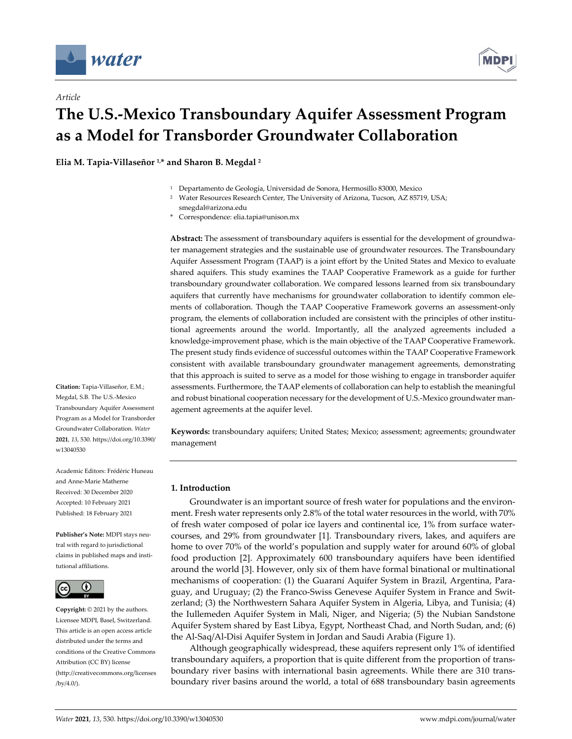

*Article*



# **The U.S.-Mexico Transboundary Aquifer Assessment Program as a Model for Transborder Groundwater Collaboration**

**Elia M. Tapia-Villaseñor 1, \* and Sharon B. Megdal <sup>2</sup>**

- <sup>1</sup> Departamento de Geología, Universidad de Sonora, Hermosillo 83000, Mexico
- <sup>2</sup> Water Resources Research Center, The University of Arizona, Tucson, AZ 85719, USA; smegdal@arizona.edu
- \* Correspondence: elia.tapia@unison.mx

**Abstract:** The assessment of transboundary aquifers is essential for the development of groundwater management strategies and the sustainable use of groundwater resources. The Transboundary Aquifer Assessment Program (TAAP) is a joint effort by the United States and Mexico to evaluate shared aquifers. This study examines the TAAP Cooperative Framework as a guide for further transboundary groundwater collaboration. We compared lessons learned from six transboundary aquifers that currently have mechanisms for groundwater collaboration to identify common elements of collaboration. Though the TAAP Cooperative Framework governs an assessment-only program, the elements of collaboration included are consistent with the principles of other institutional agreements around the world. Importantly, all the analyzed agreements included a knowledge-improvement phase, which is the main objective of the TAAP Cooperative Framework. The present study finds evidence of successful outcomes within the TAAP Cooperative Framework consistent with available transboundary groundwater management agreements, demonstrating that this approach is suited to serve as a model for those wishing to engage in transborder aquifer assessments. Furthermore, the TAAP elements of collaboration can help to establish the meaningful and robust binational cooperation necessary for the development of U.S.-Mexico groundwater management agreements at the aquifer level.

**Keywords:** transboundary aquifers; United States; Mexico; assessment; agreements; groundwater management

## **1. Introduction**

Groundwater is an important source of fresh water for populations and the environment. Fresh water represents only 2.8% of the total water resources in the world, with 70% of fresh water composed of polar ice layers and continental ice, 1% from surface watercourses, and 29% from groundwater [1]. Transboundary rivers, lakes, and aquifers are home to over 70% of the world's population and supply water for around 60% of global food production [2]. Approximately 600 transboundary aquifers have been identified around the world [3]. However, only six of them have formal binational or multinational mechanisms of cooperation: (1) the Guaraní Aquifer System in Brazil, Argentina, Paraguay, and Uruguay; (2) the Franco-Swiss Genevese Aquifer System in France and Switzerland; (3) the Northwestern Sahara Aquifer System in Algeria, Libya, and Tunisia; (4) the Iullemeden Aquifer System in Mali, Niger, and Nigeria; (5) the Nubian Sandstone Aquifer System shared by East Libya, Egypt, Northeast Chad, and North Sudan, and; (6) the Al-Saq/Al-Disi Aquifer System in Jordan and Saudi Arabia (Figure 1).

Although geographically widespread, these aquifers represent only 1% of identified transboundary aquifers, a proportion that is quite different from the proportion of transboundary river basins with international basin agreements. While there are 310 transboundary river basins around the world, a total of 688 transboundary basin agreements

**Citation:** Tapia-Villaseñor, E.M.; Megdal, S.B. The U.S.-Mexico Transboundary Aquifer Assessment Program as a Model for Transborder Groundwater Collaboration. *Water*  **2021**, *13*, 530. https://doi.org/10.3390/ w13040530

Academic Editors: Frédéric Huneau and Anne-Marie Matherne Received: 30 December 2020 Accepted: 10 February 2021 Published: 18 February 2021

**Publisher's Note:** MDPI stays neutral with regard to jurisdictional claims in published maps and institutional affiliations.



**Copyright:** © 2021 by the authors. Licensee MDPI, Basel, Switzerland. This article is an open access article distributed under the terms and conditions of the Creative Commons Attribution (CC BY) license (http://creativecommons.org/licenses /by/4.0/).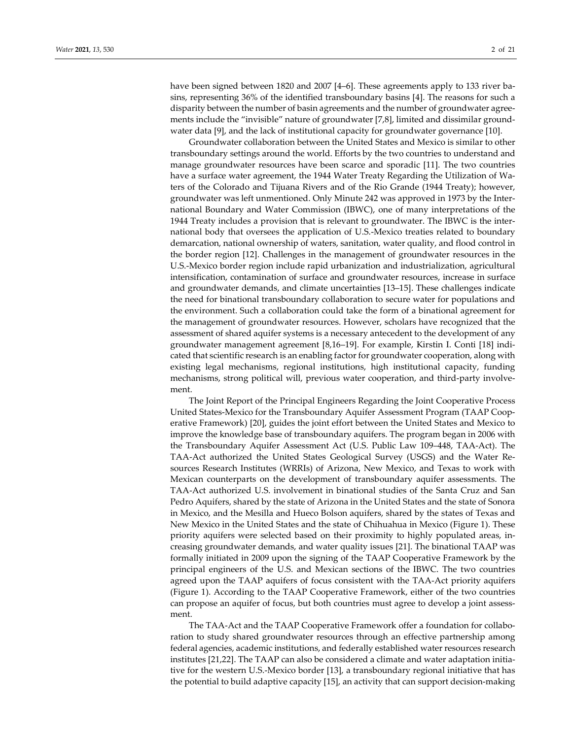have been signed between 1820 and 2007 [4–6]. These agreements apply to 133 river basins, representing 36% of the identified transboundary basins [4]. The reasons for such a disparity between the number of basin agreements and the number of groundwater agreements include the "invisible" nature of groundwater [7,8], limited and dissimilar groundwater data [9], and the lack of institutional capacity for groundwater governance [10].

Groundwater collaboration between the United States and Mexico is similar to other transboundary settings around the world. Efforts by the two countries to understand and manage groundwater resources have been scarce and sporadic [11]. The two countries have a surface water agreement, the 1944 Water Treaty Regarding the Utilization of Waters of the Colorado and Tijuana Rivers and of the Rio Grande (1944 Treaty); however, groundwater was left unmentioned. Only Minute 242 was approved in 1973 by the International Boundary and Water Commission (IBWC), one of many interpretations of the 1944 Treaty includes a provision that is relevant to groundwater. The IBWC is the international body that oversees the application of U.S.-Mexico treaties related to boundary demarcation, national ownership of waters, sanitation, water quality, and flood control in the border region [12]. Challenges in the management of groundwater resources in the U.S.-Mexico border region include rapid urbanization and industrialization, agricultural intensification, contamination of surface and groundwater resources, increase in surface and groundwater demands, and climate uncertainties [13–15]. These challenges indicate the need for binational transboundary collaboration to secure water for populations and the environment. Such a collaboration could take the form of a binational agreement for the management of groundwater resources. However, scholars have recognized that the assessment of shared aquifer systems is a necessary antecedent to the development of any groundwater management agreement [8,16–19]. For example, Kirstin I. Conti [18] indicated that scientific research is an enabling factor for groundwater cooperation, along with existing legal mechanisms, regional institutions, high institutional capacity, funding mechanisms, strong political will, previous water cooperation, and third-party involvement.

The Joint Report of the Principal Engineers Regarding the Joint Cooperative Process United States-Mexico for the Transboundary Aquifer Assessment Program (TAAP Cooperative Framework) [20], guides the joint effort between the United States and Mexico to improve the knowledge base of transboundary aquifers. The program began in 2006 with the Transboundary Aquifer Assessment Act (U.S. Public Law 109–448, TAA-Act). The TAA-Act authorized the United States Geological Survey (USGS) and the Water Resources Research Institutes (WRRIs) of Arizona, New Mexico, and Texas to work with Mexican counterparts on the development of transboundary aquifer assessments. The TAA-Act authorized U.S. involvement in binational studies of the Santa Cruz and San Pedro Aquifers, shared by the state of Arizona in the United States and the state of Sonora in Mexico, and the Mesilla and Hueco Bolson aquifers, shared by the states of Texas and New Mexico in the United States and the state of Chihuahua in Mexico (Figure 1). These priority aquifers were selected based on their proximity to highly populated areas, increasing groundwater demands, and water quality issues [21]. The binational TAAP was formally initiated in 2009 upon the signing of the TAAP Cooperative Framework by the principal engineers of the U.S. and Mexican sections of the IBWC. The two countries agreed upon the TAAP aquifers of focus consistent with the TAA-Act priority aquifers (Figure 1). According to the TAAP Cooperative Framework, either of the two countries can propose an aquifer of focus, but both countries must agree to develop a joint assessment.

The TAA-Act and the TAAP Cooperative Framework offer a foundation for collaboration to study shared groundwater resources through an effective partnership among federal agencies, academic institutions, and federally established water resources research institutes [21,22]. The TAAP can also be considered a climate and water adaptation initiative for the western U.S.-Mexico border [13], a transboundary regional initiative that has the potential to build adaptive capacity [15], an activity that can support decision-making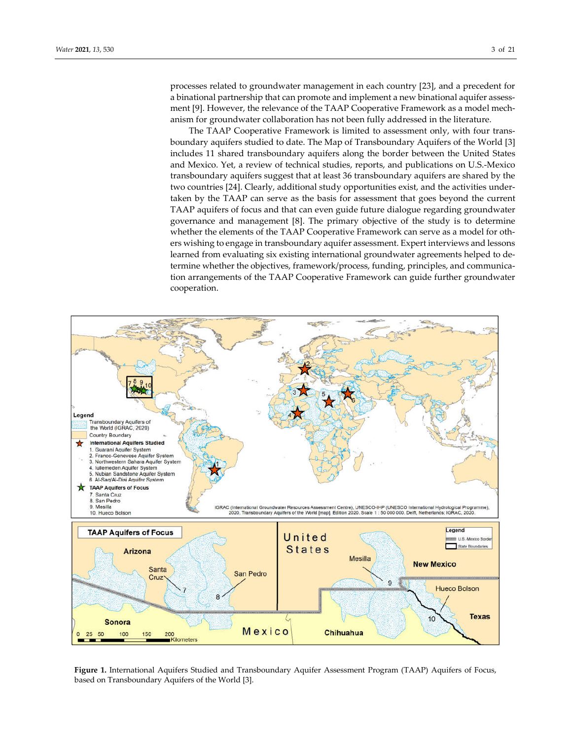processes related to groundwater management in each country [23], and a precedent for a binational partnership that can promote and implement a new binational aquifer assessment [9]. However, the relevance of the TAAP Cooperative Framework as a model mechanism for groundwater collaboration has not been fully addressed in the literature.

The TAAP Cooperative Framework is limited to assessment only, with four transboundary aquifers studied to date. The Map of Transboundary Aquifers of the World [3] includes 11 shared transboundary aquifers along the border between the United States and Mexico. Yet, a review of technical studies, reports, and publications on U.S.-Mexico transboundary aquifers suggest that at least 36 transboundary aquifers are shared by the two countries [24]. Clearly, additional study opportunities exist, and the activities undertaken by the TAAP can serve as the basis for assessment that goes beyond the current TAAP aquifers of focus and that can even guide future dialogue regarding groundwater governance and management [8]. The primary objective of the study is to determine whether the elements of the TAAP Cooperative Framework can serve as a model for others wishing to engage in transboundary aquifer assessment. Expert interviews and lessons learned from evaluating six existing international groundwater agreements helped to determine whether the objectives, framework/process, funding, principles, and communication arrangements of the TAAP Cooperative Framework can guide further groundwater cooperation.



**Figure 1.** International Aquifers Studied and Transboundary Aquifer Assessment Program (TAAP) Aquifers of Focus, based on Transboundary Aquifers of the World [3].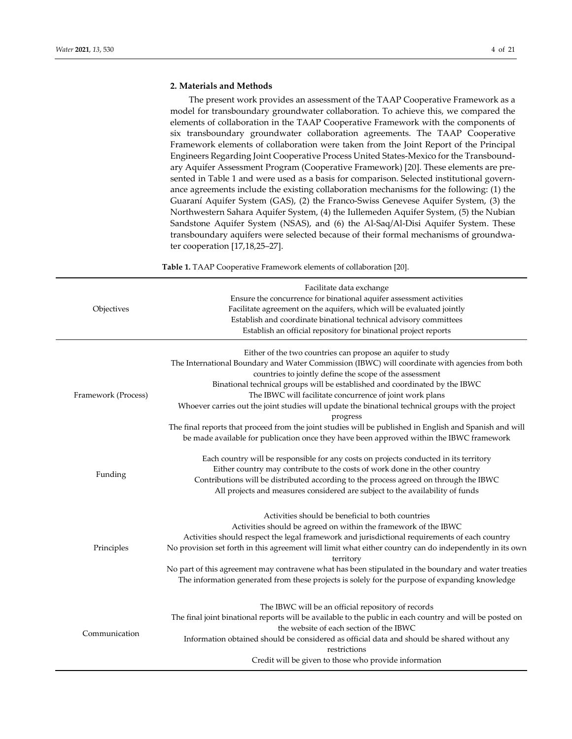# **2. Materials and Methods**

The present work provides an assessment of the TAAP Cooperative Framework as a model for transboundary groundwater collaboration. To achieve this, we compared the elements of collaboration in the TAAP Cooperative Framework with the components of six transboundary groundwater collaboration agreements. The TAAP Cooperative Framework elements of collaboration were taken from the Joint Report of the Principal Engineers Regarding Joint Cooperative Process United States-Mexico for the Transboundary Aquifer Assessment Program (Cooperative Framework) [20]. These elements are presented in Table 1 and were used as a basis for comparison. Selected institutional governance agreements include the existing collaboration mechanisms for the following: (1) the Guaraní Aquifer System (GAS), (2) the Franco-Swiss Genevese Aquifer System, (3) the Northwestern Sahara Aquifer System, (4) the Iullemeden Aquifer System, (5) the Nubian Sandstone Aquifer System (NSAS), and (6) the Al-Saq/Al-Disi Aquifer System. These transboundary aquifers were selected because of their formal mechanisms of groundwater cooperation [17,18,25–27].

**Table 1.** TAAP Cooperative Framework elements of collaboration [20].

| Objectives          | Facilitate data exchange<br>Ensure the concurrence for binational aquifer assessment activities<br>Facilitate agreement on the aquifers, which will be evaluated jointly<br>Establish and coordinate binational technical advisory committees<br>Establish an official repository for binational project reports                                                                                                                                                                                                                                                                                                                                                                             |
|---------------------|----------------------------------------------------------------------------------------------------------------------------------------------------------------------------------------------------------------------------------------------------------------------------------------------------------------------------------------------------------------------------------------------------------------------------------------------------------------------------------------------------------------------------------------------------------------------------------------------------------------------------------------------------------------------------------------------|
| Framework (Process) | Either of the two countries can propose an aquifer to study<br>The International Boundary and Water Commission (IBWC) will coordinate with agencies from both<br>countries to jointly define the scope of the assessment<br>Binational technical groups will be established and coordinated by the IBWC<br>The IBWC will facilitate concurrence of joint work plans<br>Whoever carries out the joint studies will update the binational technical groups with the project<br>progress<br>The final reports that proceed from the joint studies will be published in English and Spanish and will<br>be made available for publication once they have been approved within the IBWC framework |
| Funding             | Each country will be responsible for any costs on projects conducted in its territory<br>Either country may contribute to the costs of work done in the other country<br>Contributions will be distributed according to the process agreed on through the IBWC<br>All projects and measures considered are subject to the availability of funds                                                                                                                                                                                                                                                                                                                                              |
| Principles          | Activities should be beneficial to both countries<br>Activities should be agreed on within the framework of the IBWC<br>Activities should respect the legal framework and jurisdictional requirements of each country<br>No provision set forth in this agreement will limit what either country can do independently in its own<br>territory<br>No part of this agreement may contravene what has been stipulated in the boundary and water treaties<br>The information generated from these projects is solely for the purpose of expanding knowledge                                                                                                                                      |
| Communication       | The IBWC will be an official repository of records<br>The final joint binational reports will be available to the public in each country and will be posted on<br>the website of each section of the IBWC<br>Information obtained should be considered as official data and should be shared without any<br>restrictions<br>Credit will be given to those who provide information                                                                                                                                                                                                                                                                                                            |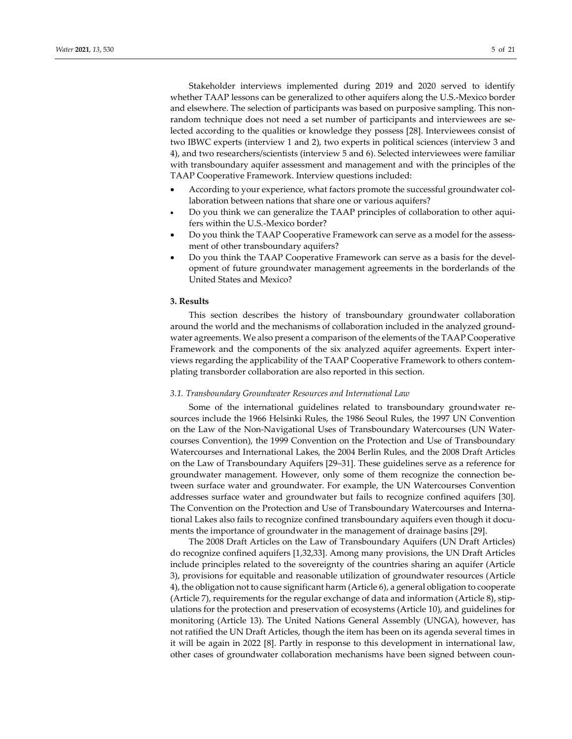Stakeholder interviews implemented during 2019 and 2020 served to identify whether TAAP lessons can be generalized to other aquifers along the U.S.-Mexico border and elsewhere. The selection of participants was based on purposive sampling. This nonrandom technique does not need a set number of participants and interviewees are selected according to the qualities or knowledge they possess [28]. Interviewees consist of two IBWC experts (interview 1 and 2), two experts in political sciences (interview 3 and 4), and two researchers/scientists (interview 5 and 6). Selected interviewees were familiar with transboundary aquifer assessment and management and with the principles of the TAAP Cooperative Framework. Interview questions included:

- According to your experience, what factors promote the successful groundwater collaboration between nations that share one or various aquifers?
- Do you think we can generalize the TAAP principles of collaboration to other aquifers within the U.S.-Mexico border?
- Do you think the TAAP Cooperative Framework can serve as a model for the assessment of other transboundary aquifers?
- Do you think the TAAP Cooperative Framework can serve as a basis for the development of future groundwater management agreements in the borderlands of the United States and Mexico?

## **3. Results**

This section describes the history of transboundary groundwater collaboration around the world and the mechanisms of collaboration included in the analyzed groundwater agreements. We also present a comparison of the elements of the TAAP Cooperative Framework and the components of the six analyzed aquifer agreements. Expert interviews regarding the applicability of the TAAP Cooperative Framework to others contemplating transborder collaboration are also reported in this section.

#### *3.1. Transboundary Groundwater Resources and International Law*

Some of the international guidelines related to transboundary groundwater resources include the 1966 Helsinki Rules, the 1986 Seoul Rules, the 1997 UN Convention on the Law of the Non-Navigational Uses of Transboundary Watercourses (UN Watercourses Convention), the 1999 Convention on the Protection and Use of Transboundary Watercourses and International Lakes, the 2004 Berlin Rules, and the 2008 Draft Articles on the Law of Transboundary Aquifers [29–31]. These guidelines serve as a reference for groundwater management. However, only some of them recognize the connection between surface water and groundwater. For example, the UN Watercourses Convention addresses surface water and groundwater but fails to recognize confined aquifers [30]. The Convention on the Protection and Use of Transboundary Watercourses and International Lakes also fails to recognize confined transboundary aquifers even though it documents the importance of groundwater in the management of drainage basins [29].

The 2008 Draft Articles on the Law of Transboundary Aquifers (UN Draft Articles) do recognize confined aquifers [1,32,33]. Among many provisions, the UN Draft Articles include principles related to the sovereignty of the countries sharing an aquifer (Article 3), provisions for equitable and reasonable utilization of groundwater resources (Article 4), the obligation not to cause significant harm (Article 6), a general obligation to cooperate (Article 7), requirements for the regular exchange of data and information (Article 8), stipulations for the protection and preservation of ecosystems (Article 10), and guidelines for monitoring (Article 13). The United Nations General Assembly (UNGA), however, has not ratified the UN Draft Articles, though the item has been on its agenda several times in it will be again in 2022 [8]. Partly in response to this development in international law, other cases of groundwater collaboration mechanisms have been signed between coun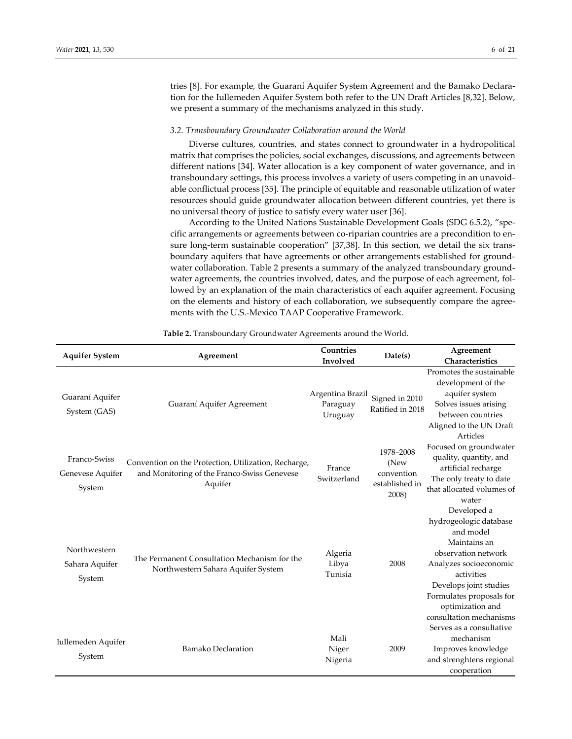tries [8]. For example, the Guaraní Aquifer System Agreement and the Bamako Declaration for the Iullemeden Aquifer System both refer to the UN Draft Articles [8,32]. Below, we present a summary of the mechanisms analyzed in this study.

#### *3.2. Transboundary Groundwater Collaboration around the World*

Diverse cultures, countries, and states connect to groundwater in a hydropolitical matrix that comprises the policies, social exchanges, discussions, and agreements between different nations [34]. Water allocation is a key component of water governance, and in transboundary settings, this process involves a variety of users competing in an unavoidable conflictual process [35]. The principle of equitable and reasonable utilization of water resources should guide groundwater allocation between different countries, yet there is no universal theory of justice to satisfy every water user [36].

According to the United Nations Sustainable Development Goals (SDG 6.5.2), "specific arrangements or agreements between co-riparian countries are a precondition to ensure long-term sustainable cooperation" [37,38]. In this section, we detail the six transboundary aquifers that have agreements or other arrangements established for groundwater collaboration. Table 2 presents a summary of the analyzed transboundary groundwater agreements, the countries involved, dates, and the purpose of each agreement, followed by an explanation of the main characteristics of each aquifer agreement. Focusing on the elements and history of each collaboration, we subsequently compare the agreements with the U.S.-Mexico TAAP Cooperative Framework.

| <b>Aquifer System</b>                      | Agreement                                                                                                      | Countries<br>Involved                   | Date(s)                                                    | Agreement<br>Characteristics                                                                                                                                                                                |  |
|--------------------------------------------|----------------------------------------------------------------------------------------------------------------|-----------------------------------------|------------------------------------------------------------|-------------------------------------------------------------------------------------------------------------------------------------------------------------------------------------------------------------|--|
| Guaraní Aquifer<br>System (GAS)            | Guaraní Aquifer Agreement                                                                                      | Argentina Brazil<br>Paraguay<br>Uruguay | Signed in 2010<br>Ratified in 2018                         | Promotes the sustainable<br>development of the<br>aquifer system<br>Solves issues arising<br>between countries<br>Aligned to the UN Draft<br>Articles                                                       |  |
| Franco-Swiss<br>Genevese Aquifer<br>System | Convention on the Protection, Utilization, Recharge,<br>and Monitoring of the Franco-Swiss Genevese<br>Aquifer | France<br>Switzerland                   | 1978-2008<br>(New<br>convention<br>established in<br>2008) | Focused on groundwater<br>quality, quantity, and<br>artificial recharge<br>The only treaty to date<br>that allocated volumes of<br>water                                                                    |  |
| Northwestern<br>Sahara Aquifer<br>System   | The Permanent Consultation Mechanism for the<br>Northwestern Sahara Aquifer System                             | Algeria<br>Libya<br>Tunisia             | 2008                                                       | Developed a<br>hydrogeologic database<br>and model<br>Maintains an<br>observation network<br>Analyzes socioeconomic<br>activities<br>Develops joint studies<br>Formulates proposals for<br>optimization and |  |
| Iullemeden Aquifer<br>System               | <b>Bamako Declaration</b>                                                                                      | Mali<br>Niger<br>Nigeria                | 2009                                                       | consultation mechanisms<br>Serves as a consultative<br>mechanism<br>Improves knowledge<br>and strenghtens regional<br>cooperation                                                                           |  |

**Table 2.** Transboundary Groundwater Agreements around the World.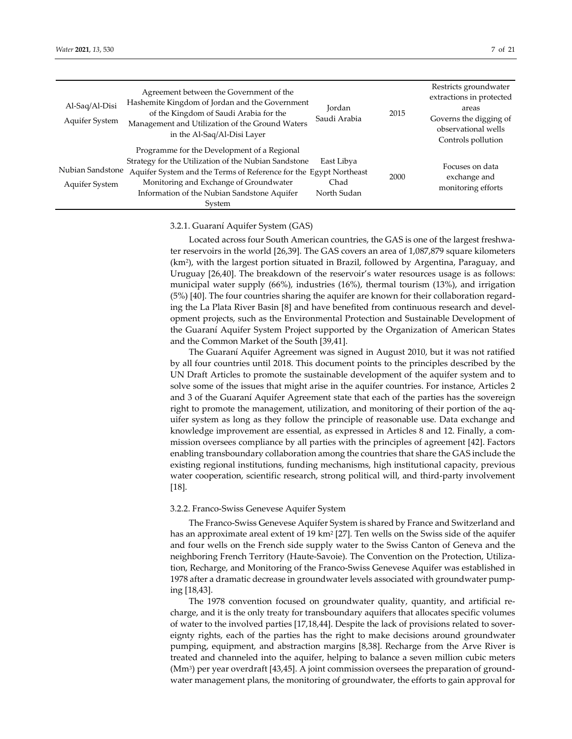| Al-Saq/Al-Disi<br>Aquifer System   | Agreement between the Government of the<br>Hashemite Kingdom of Jordan and the Government<br>of the Kingdom of Saudi Arabia for the<br>Management and Utilization of the Ground Waters<br>in the Al-Saq/Al-Disi Layer                                                       | Jordan<br>Saudi Arabia            | 2015 | Restricts groundwater<br>extractions in protected<br>areas<br>Governs the digging of<br>observational wells |  |
|------------------------------------|-----------------------------------------------------------------------------------------------------------------------------------------------------------------------------------------------------------------------------------------------------------------------------|-----------------------------------|------|-------------------------------------------------------------------------------------------------------------|--|
|                                    |                                                                                                                                                                                                                                                                             |                                   |      | Controls pollution                                                                                          |  |
| Nubian Sandstone<br>Aquifer System | Programme for the Development of a Regional<br>Strategy for the Utilization of the Nubian Sandstone<br>Aquifer System and the Terms of Reference for the Egypt Northeast<br>Monitoring and Exchange of Groundwater<br>Information of the Nubian Sandstone Aquifer<br>System | East Libya<br>Chad<br>North Sudan | 2000 | Focuses on data<br>exchange and<br>monitoring efforts                                                       |  |

## 3.2.1. Guaraní Aquifer System (GAS)

Located across four South American countries, the GAS is one of the largest freshwater reservoirs in the world [26,39]. The GAS covers an area of 1,087,879 square kilometers (km2), with the largest portion situated in Brazil, followed by Argentina, Paraguay, and Uruguay [26,40]. The breakdown of the reservoir's water resources usage is as follows: municipal water supply (66%), industries (16%), thermal tourism (13%), and irrigation (5%) [40]. The four countries sharing the aquifer are known for their collaboration regarding the La Plata River Basin [8] and have benefited from continuous research and development projects, such as the Environmental Protection and Sustainable Development of the Guaraní Aquifer System Project supported by the Organization of American States and the Common Market of the South [39,41].

The Guaraní Aquifer Agreement was signed in August 2010, but it was not ratified by all four countries until 2018. This document points to the principles described by the UN Draft Articles to promote the sustainable development of the aquifer system and to solve some of the issues that might arise in the aquifer countries. For instance, Articles 2 and 3 of the Guaraní Aquifer Agreement state that each of the parties has the sovereign right to promote the management, utilization, and monitoring of their portion of the aquifer system as long as they follow the principle of reasonable use. Data exchange and knowledge improvement are essential, as expressed in Articles 8 and 12. Finally, a commission oversees compliance by all parties with the principles of agreement [42]. Factors enabling transboundary collaboration among the countries that share the GAS include the existing regional institutions, funding mechanisms, high institutional capacity, previous water cooperation, scientific research, strong political will, and third-party involvement [18].

### 3.2.2. Franco-Swiss Genevese Aquifer System

The Franco-Swiss Genevese Aquifer System is shared by France and Switzerland and has an approximate areal extent of 19 km<sup>2</sup> [27]. Ten wells on the Swiss side of the aquifer and four wells on the French side supply water to the Swiss Canton of Geneva and the neighboring French Territory (Haute-Savoie). The Convention on the Protection, Utilization, Recharge, and Monitoring of the Franco-Swiss Genevese Aquifer was established in 1978 after a dramatic decrease in groundwater levels associated with groundwater pumping [18,43].

The 1978 convention focused on groundwater quality, quantity, and artificial recharge, and it is the only treaty for transboundary aquifers that allocates specific volumes of water to the involved parties [17,18,44]. Despite the lack of provisions related to sovereignty rights, each of the parties has the right to make decisions around groundwater pumping, equipment, and abstraction margins [8,38]. Recharge from the Arve River is treated and channeled into the aquifer, helping to balance a seven million cubic meters (Mm<sup>3</sup>) per year overdraft [43,45]. A joint commission oversees the preparation of groundwater management plans, the monitoring of groundwater, the efforts to gain approval for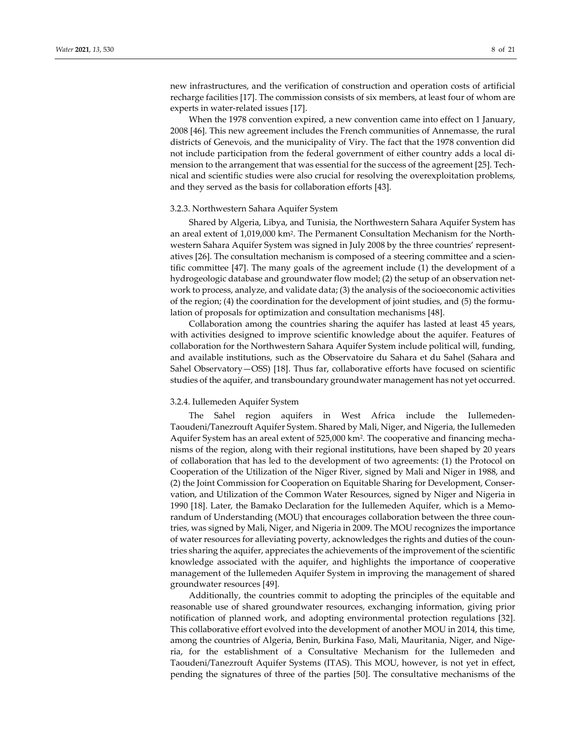new infrastructures, and the verification of construction and operation costs of artificial recharge facilities [17]. The commission consists of six members, at least four of whom are experts in water-related issues [17].

When the 1978 convention expired, a new convention came into effect on 1 January, 2008 [46]. This new agreement includes the French communities of Annemasse, the rural districts of Genevois, and the municipality of Viry. The fact that the 1978 convention did not include participation from the federal government of either country adds a local dimension to the arrangement that was essential for the success of the agreement [25]. Technical and scientific studies were also crucial for resolving the overexploitation problems, and they served as the basis for collaboration efforts [43].

#### 3.2.3. Northwestern Sahara Aquifer System

Shared by Algeria, Libya, and Tunisia, the Northwestern Sahara Aquifer System has an areal extent of 1,019,000 km2. The Permanent Consultation Mechanism for the Northwestern Sahara Aquifer System was signed in July 2008 by the three countries' representatives [26]. The consultation mechanism is composed of a steering committee and a scientific committee [47]. The many goals of the agreement include (1) the development of a hydrogeologic database and groundwater flow model; (2) the setup of an observation network to process, analyze, and validate data; (3) the analysis of the socioeconomic activities of the region; (4) the coordination for the development of joint studies, and (5) the formulation of proposals for optimization and consultation mechanisms [48].

Collaboration among the countries sharing the aquifer has lasted at least 45 years, with activities designed to improve scientific knowledge about the aquifer. Features of collaboration for the Northwestern Sahara Aquifer System include political will, funding, and available institutions, such as the Observatoire du Sahara et du Sahel (Sahara and Sahel Observatory—OSS) [18]. Thus far, collaborative efforts have focused on scientific studies of the aquifer, and transboundary groundwater management has not yet occurred.

# 3.2.4. Iullemeden Aquifer System

The Sahel region aquifers in West Africa include the Iullemeden-Taoudeni/Tanezrouft Aquifer System. Shared by Mali, Niger, and Nigeria, the Iullemeden Aquifer System has an areal extent of 525,000 km2. The cooperative and financing mechanisms of the region, along with their regional institutions, have been shaped by 20 years of collaboration that has led to the development of two agreements: (1) the Protocol on Cooperation of the Utilization of the Niger River, signed by Mali and Niger in 1988, and (2) the Joint Commission for Cooperation on Equitable Sharing for Development, Conservation, and Utilization of the Common Water Resources, signed by Niger and Nigeria in 1990 [18]. Later, the Bamako Declaration for the Iullemeden Aquifer, which is a Memorandum of Understanding (MOU) that encourages collaboration between the three countries, was signed by Mali, Niger, and Nigeria in 2009. The MOU recognizes the importance of water resources for alleviating poverty, acknowledges the rights and duties of the countries sharing the aquifer, appreciates the achievements of the improvement of the scientific knowledge associated with the aquifer, and highlights the importance of cooperative management of the Iullemeden Aquifer System in improving the management of shared groundwater resources [49].

Additionally, the countries commit to adopting the principles of the equitable and reasonable use of shared groundwater resources, exchanging information, giving prior notification of planned work, and adopting environmental protection regulations [32]. This collaborative effort evolved into the development of another MOU in 2014, this time, among the countries of Algeria, Benin, Burkina Faso, Mali, Mauritania, Niger, and Nigeria, for the establishment of a Consultative Mechanism for the Iullemeden and Taoudeni/Tanezrouft Aquifer Systems (ITAS). This MOU, however, is not yet in effect, pending the signatures of three of the parties [50]. The consultative mechanisms of the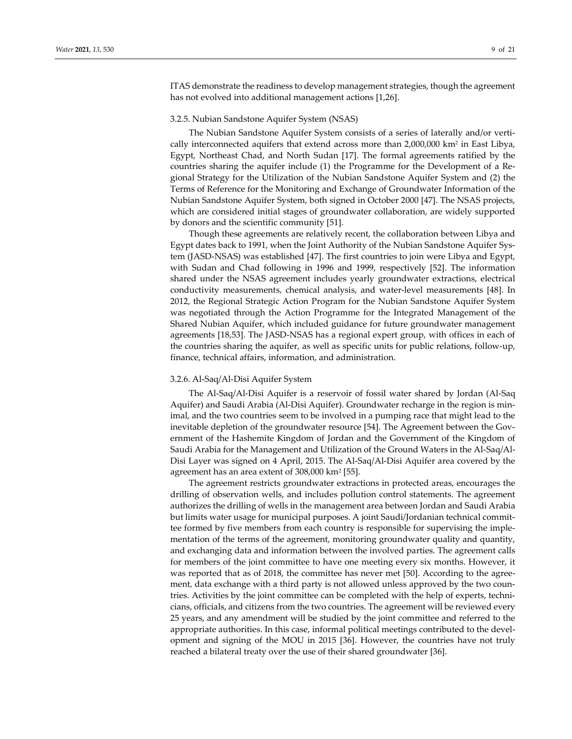ITAS demonstrate the readiness to develop management strategies, though the agreement has not evolved into additional management actions [1,26].

#### 3.2.5. Nubian Sandstone Aquifer System (NSAS)

The Nubian Sandstone Aquifer System consists of a series of laterally and/or vertically interconnected aquifers that extend across more than  $2,000,000$  km<sup>2</sup> in East Libya, Egypt, Northeast Chad, and North Sudan [17]. The formal agreements ratified by the countries sharing the aquifer include (1) the Programme for the Development of a Regional Strategy for the Utilization of the Nubian Sandstone Aquifer System and (2) the Terms of Reference for the Monitoring and Exchange of Groundwater Information of the Nubian Sandstone Aquifer System, both signed in October 2000 [47]. The NSAS projects, which are considered initial stages of groundwater collaboration, are widely supported by donors and the scientific community [51].

Though these agreements are relatively recent, the collaboration between Libya and Egypt dates back to 1991, when the Joint Authority of the Nubian Sandstone Aquifer System (JASD-NSAS) was established [47]. The first countries to join were Libya and Egypt, with Sudan and Chad following in 1996 and 1999, respectively [52]. The information shared under the NSAS agreement includes yearly groundwater extractions, electrical conductivity measurements, chemical analysis, and water-level measurements [48]. In 2012, the Regional Strategic Action Program for the Nubian Sandstone Aquifer System was negotiated through the Action Programme for the Integrated Management of the Shared Nubian Aquifer, which included guidance for future groundwater management agreements [18,53]. The JASD-NSAS has a regional expert group, with offices in each of the countries sharing the aquifer, as well as specific units for public relations, follow-up, finance, technical affairs, information, and administration.

# 3.2.6. Al-Saq/Al-Disi Aquifer System

The Al-Saq/Al-Disi Aquifer is a reservoir of fossil water shared by Jordan (Al-Saq Aquifer) and Saudi Arabia (Al-Disi Aquifer). Groundwater recharge in the region is minimal, and the two countries seem to be involved in a pumping race that might lead to the inevitable depletion of the groundwater resource [54]. The Agreement between the Government of the Hashemite Kingdom of Jordan and the Government of the Kingdom of Saudi Arabia for the Management and Utilization of the Ground Waters in the Al-Saq/Al-Disi Layer was signed on 4 April, 2015. The Al-Saq/Al-Disi Aquifer area covered by the agreement has an area extent of 308,000 km2 [55].

The agreement restricts groundwater extractions in protected areas, encourages the drilling of observation wells, and includes pollution control statements. The agreement authorizes the drilling of wells in the management area between Jordan and Saudi Arabia but limits water usage for municipal purposes. A joint Saudi/Jordanian technical committee formed by five members from each country is responsible for supervising the implementation of the terms of the agreement, monitoring groundwater quality and quantity, and exchanging data and information between the involved parties. The agreement calls for members of the joint committee to have one meeting every six months. However, it was reported that as of 2018, the committee has never met [50]. According to the agreement, data exchange with a third party is not allowed unless approved by the two countries. Activities by the joint committee can be completed with the help of experts, technicians, officials, and citizens from the two countries. The agreement will be reviewed every 25 years, and any amendment will be studied by the joint committee and referred to the appropriate authorities. In this case, informal political meetings contributed to the development and signing of the MOU in 2015 [36]. However, the countries have not truly reached a bilateral treaty over the use of their shared groundwater [36].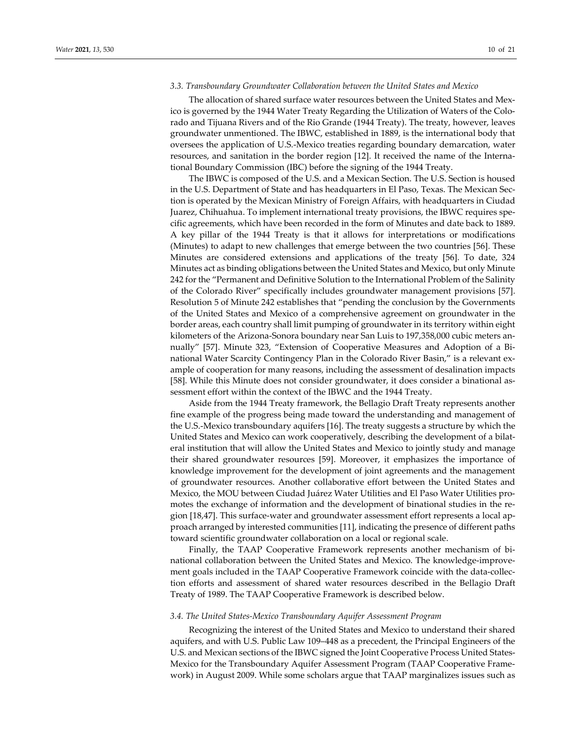# *3.3. Transboundary Groundwater Collaboration between the United States and Mexico*

The allocation of shared surface water resources between the United States and Mexico is governed by the 1944 Water Treaty Regarding the Utilization of Waters of the Colorado and Tijuana Rivers and of the Rio Grande (1944 Treaty). The treaty, however, leaves groundwater unmentioned. The IBWC, established in 1889, is the international body that oversees the application of U.S.-Mexico treaties regarding boundary demarcation, water resources, and sanitation in the border region [12]. It received the name of the International Boundary Commission (IBC) before the signing of the 1944 Treaty.

The IBWC is composed of the U.S. and a Mexican Section. The U.S. Section is housed in the U.S. Department of State and has headquarters in El Paso, Texas. The Mexican Section is operated by the Mexican Ministry of Foreign Affairs, with headquarters in Ciudad Juarez, Chihuahua. To implement international treaty provisions, the IBWC requires specific agreements, which have been recorded in the form of Minutes and date back to 1889. A key pillar of the 1944 Treaty is that it allows for interpretations or modifications (Minutes) to adapt to new challenges that emerge between the two countries [56]. These Minutes are considered extensions and applications of the treaty [56]. To date, 324 Minutes act as binding obligations between the United States and Mexico, but only Minute 242 for the "Permanent and Definitive Solution to the International Problem of the Salinity of the Colorado River" specifically includes groundwater management provisions [57]. Resolution 5 of Minute 242 establishes that "pending the conclusion by the Governments of the United States and Mexico of a comprehensive agreement on groundwater in the border areas, each country shall limit pumping of groundwater in its territory within eight kilometers of the Arizona-Sonora boundary near San Luis to 197,358,000 cubic meters annually" [57]. Minute 323, "Extension of Cooperative Measures and Adoption of a Binational Water Scarcity Contingency Plan in the Colorado River Basin," is a relevant example of cooperation for many reasons, including the assessment of desalination impacts [58]. While this Minute does not consider groundwater, it does consider a binational assessment effort within the context of the IBWC and the 1944 Treaty.

Aside from the 1944 Treaty framework, the Bellagio Draft Treaty represents another fine example of the progress being made toward the understanding and management of the U.S.-Mexico transboundary aquifers [16]. The treaty suggests a structure by which the United States and Mexico can work cooperatively, describing the development of a bilateral institution that will allow the United States and Mexico to jointly study and manage their shared groundwater resources [59]. Moreover, it emphasizes the importance of knowledge improvement for the development of joint agreements and the management of groundwater resources. Another collaborative effort between the United States and Mexico, the MOU between Ciudad Juárez Water Utilities and El Paso Water Utilities promotes the exchange of information and the development of binational studies in the region [18,47]. This surface-water and groundwater assessment effort represents a local approach arranged by interested communities [11], indicating the presence of different paths toward scientific groundwater collaboration on a local or regional scale.

Finally, the TAAP Cooperative Framework represents another mechanism of binational collaboration between the United States and Mexico. The knowledge-improvement goals included in the TAAP Cooperative Framework coincide with the data-collection efforts and assessment of shared water resources described in the Bellagio Draft Treaty of 1989. The TAAP Cooperative Framework is described below.

#### *3.4. The United States-Mexico Transboundary Aquifer Assessment Program*

Recognizing the interest of the United States and Mexico to understand their shared aquifers, and with U.S. Public Law 109–448 as a precedent, the Principal Engineers of the U.S. and Mexican sections of the IBWC signed the Joint Cooperative Process United States-Mexico for the Transboundary Aquifer Assessment Program (TAAP Cooperative Framework) in August 2009. While some scholars argue that TAAP marginalizes issues such as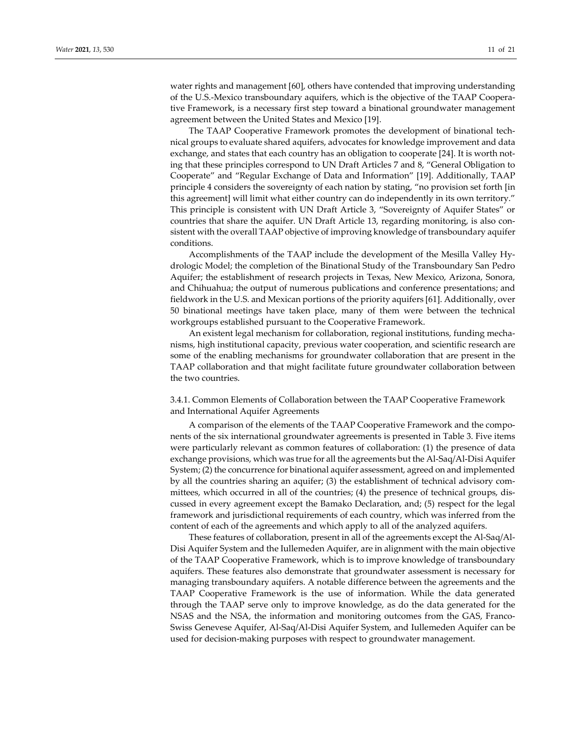water rights and management [60], others have contended that improving understanding of the U.S.-Mexico transboundary aquifers, which is the objective of the TAAP Cooperative Framework, is a necessary first step toward a binational groundwater management agreement between the United States and Mexico [19].

The TAAP Cooperative Framework promotes the development of binational technical groups to evaluate shared aquifers, advocates for knowledge improvement and data exchange, and states that each country has an obligation to cooperate [24]. It is worth noting that these principles correspond to UN Draft Articles 7 and 8, "General Obligation to Cooperate" and "Regular Exchange of Data and Information" [19]. Additionally, TAAP principle 4 considers the sovereignty of each nation by stating, "no provision set forth [in this agreement] will limit what either country can do independently in its own territory." This principle is consistent with UN Draft Article 3, "Sovereignty of Aquifer States" or countries that share the aquifer. UN Draft Article 13, regarding monitoring, is also consistent with the overall TAAP objective of improving knowledge of transboundary aquifer conditions.

Accomplishments of the TAAP include the development of the Mesilla Valley Hydrologic Model; the completion of the Binational Study of the Transboundary San Pedro Aquifer; the establishment of research projects in Texas, New Mexico, Arizona, Sonora, and Chihuahua; the output of numerous publications and conference presentations; and fieldwork in the U.S. and Mexican portions of the priority aquifers [61]. Additionally, over 50 binational meetings have taken place, many of them were between the technical workgroups established pursuant to the Cooperative Framework.

An existent legal mechanism for collaboration, regional institutions, funding mechanisms, high institutional capacity, previous water cooperation, and scientific research are some of the enabling mechanisms for groundwater collaboration that are present in the TAAP collaboration and that might facilitate future groundwater collaboration between the two countries.

# 3.4.1. Common Elements of Collaboration between the TAAP Cooperative Framework and International Aquifer Agreements

A comparison of the elements of the TAAP Cooperative Framework and the components of the six international groundwater agreements is presented in Table 3. Five items were particularly relevant as common features of collaboration: (1) the presence of data exchange provisions, which was true for all the agreements but the Al-Saq/Al-Disi Aquifer System; (2) the concurrence for binational aquifer assessment, agreed on and implemented by all the countries sharing an aquifer; (3) the establishment of technical advisory committees, which occurred in all of the countries; (4) the presence of technical groups, discussed in every agreement except the Bamako Declaration, and; (5) respect for the legal framework and jurisdictional requirements of each country, which was inferred from the content of each of the agreements and which apply to all of the analyzed aquifers.

These features of collaboration, present in all of the agreements except the Al-Saq/Al-Disi Aquifer System and the Iullemeden Aquifer, are in alignment with the main objective of the TAAP Cooperative Framework, which is to improve knowledge of transboundary aquifers. These features also demonstrate that groundwater assessment is necessary for managing transboundary aquifers. A notable difference between the agreements and the TAAP Cooperative Framework is the use of information. While the data generated through the TAAP serve only to improve knowledge, as do the data generated for the NSAS and the NSA, the information and monitoring outcomes from the GAS, Franco-Swiss Genevese Aquifer, Al-Saq/Al-Disi Aquifer System, and Iullemeden Aquifer can be used for decision-making purposes with respect to groundwater management.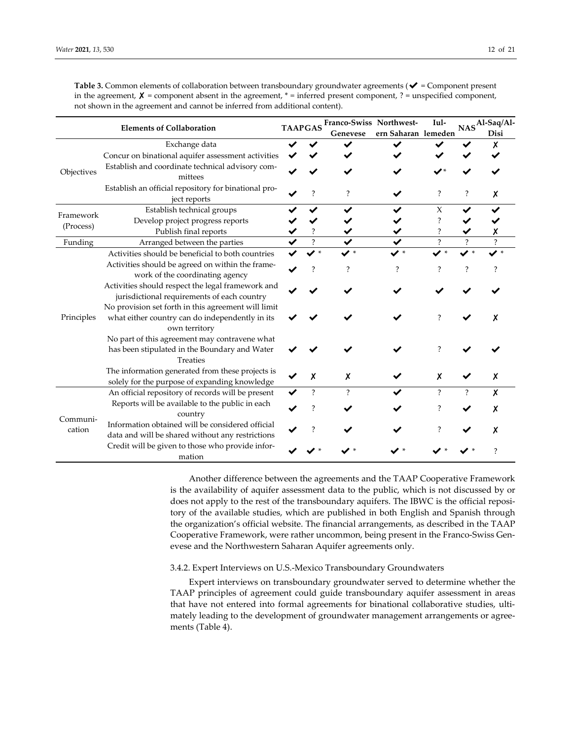|                    | <b>Elements of Collaboration</b>                                                                                        | <b>TAAPGAS</b> | Franco-Swiss Northwest-<br>Genevese | Iul-                                                                                                                                                                              |   | Disi                     |
|--------------------|-------------------------------------------------------------------------------------------------------------------------|----------------|-------------------------------------|-----------------------------------------------------------------------------------------------------------------------------------------------------------------------------------|---|--------------------------|
|                    | Exchange data                                                                                                           |                |                                     |                                                                                                                                                                                   |   | x                        |
|                    | Concur on binational aquifer assessment activities                                                                      |                |                                     |                                                                                                                                                                                   |   |                          |
| Objectives         | Establish and coordinate technical advisory com-<br>mittees                                                             |                |                                     |                                                                                                                                                                                   |   |                          |
|                    | Establish an official repository for binational pro-<br>ject reports                                                    | ?              | $\overline{\mathcal{E}}$            | NASAl-Saq/Al-<br>$\overline{\cdot}$<br>?<br>X<br>✔<br>$\ddot{\cdot}$<br>$\ddot{?}$<br>$\overline{\mathcal{C}}$<br>?<br>?<br>?<br>?<br>7<br>X<br>$\overline{\cdot}$<br>?<br>?<br>7 | х |                          |
|                    | Establish technical groups                                                                                              |                |                                     | ern Saharan lemeden<br>◢∗<br>?                                                                                                                                                    |   |                          |
| Framework          | Develop project progress reports                                                                                        |                |                                     |                                                                                                                                                                                   |   |                          |
| (Process)          | Publish final reports                                                                                                   |                |                                     |                                                                                                                                                                                   |   |                          |
| Funding            | Arranged between the parties                                                                                            | $\overline{?}$ |                                     |                                                                                                                                                                                   |   | $\overline{\mathcal{E}}$ |
| Principles         | Activities should be beneficial to both countries                                                                       | ✔*             | ◢∗                                  |                                                                                                                                                                                   |   |                          |
|                    | Activities should be agreed on within the frame-<br>work of the coordinating agency                                     |                | ?                                   |                                                                                                                                                                                   |   |                          |
|                    | Activities should respect the legal framework and<br>jurisdictional requirements of each country                        |                |                                     |                                                                                                                                                                                   |   |                          |
|                    | No provision set forth in this agreement will limit<br>what either country can do independently in its<br>own territory |                |                                     |                                                                                                                                                                                   |   |                          |
|                    | No part of this agreement may contravene what<br>has been stipulated in the Boundary and Water<br><b>Treaties</b>       |                |                                     |                                                                                                                                                                                   |   |                          |
|                    | The information generated from these projects is<br>solely for the purpose of expanding knowledge                       | χ              | X                                   |                                                                                                                                                                                   |   | X                        |
|                    | An official repository of records will be present                                                                       | ?              | $\overline{\mathcal{E}}$            |                                                                                                                                                                                   |   | X                        |
|                    | Reports will be available to the public in each<br>country                                                              | 2              |                                     |                                                                                                                                                                                   |   | х                        |
| Communi-<br>cation | Information obtained will be considered official<br>data and will be shared without any restrictions                    |                |                                     |                                                                                                                                                                                   |   | x                        |
|                    | Credit will be given to those who provide infor-<br>mation                                                              |                |                                     |                                                                                                                                                                                   |   |                          |

**Table 3.** Common elements of collaboration between transboundary groundwater agreements (✔ = Component present in the agreement,  $X =$  component absent in the agreement,  $* =$  inferred present component, ? = unspecified component, not shown in the agreement and cannot be inferred from additional content).

> Another difference between the agreements and the TAAP Cooperative Framework is the availability of aquifer assessment data to the public, which is not discussed by or does not apply to the rest of the transboundary aquifers. The IBWC is the official repository of the available studies, which are published in both English and Spanish through the organization's official website. The financial arrangements, as described in the TAAP Cooperative Framework, were rather uncommon, being present in the Franco-Swiss Genevese and the Northwestern Saharan Aquifer agreements only.

# 3.4.2. Expert Interviews on U.S.-Mexico Transboundary Groundwaters

Expert interviews on transboundary groundwater served to determine whether the TAAP principles of agreement could guide transboundary aquifer assessment in areas that have not entered into formal agreements for binational collaborative studies, ultimately leading to the development of groundwater management arrangements or agreements (Table 4).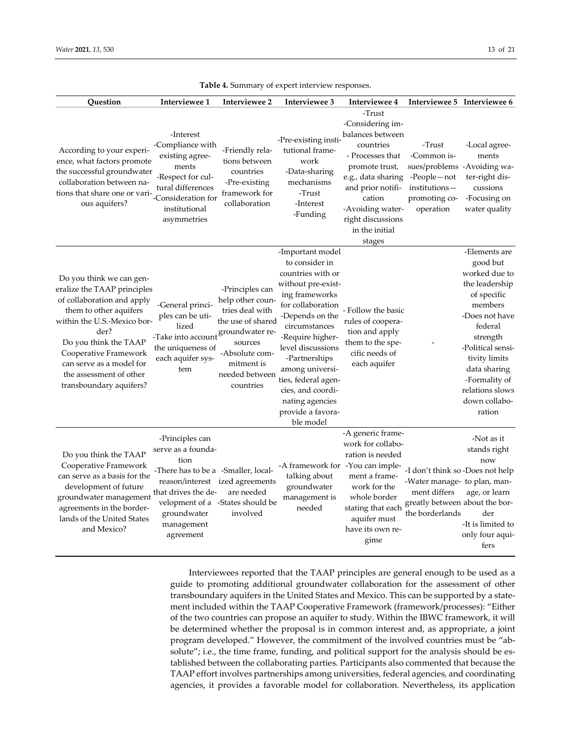| Question                                                                                                                                                                                                                                                                                   | Interviewee 1                                                                                                                                             | Interviewee 2                                                                                                                                         | Interviewee 3                                                                                                                                                                                                                                                                                                                          | Interviewee 4                                                                                                                                                                                                               | Interviewee 5 Interviewee 6                                                                                                           |                                                                                                                                                                                                                                                      |
|--------------------------------------------------------------------------------------------------------------------------------------------------------------------------------------------------------------------------------------------------------------------------------------------|-----------------------------------------------------------------------------------------------------------------------------------------------------------|-------------------------------------------------------------------------------------------------------------------------------------------------------|----------------------------------------------------------------------------------------------------------------------------------------------------------------------------------------------------------------------------------------------------------------------------------------------------------------------------------------|-----------------------------------------------------------------------------------------------------------------------------------------------------------------------------------------------------------------------------|---------------------------------------------------------------------------------------------------------------------------------------|------------------------------------------------------------------------------------------------------------------------------------------------------------------------------------------------------------------------------------------------------|
| According to your experi-<br>ence, what factors promote<br>the successful groundwater<br>collaboration between na-<br>tions that share one or vari-<br>ous aquifers?                                                                                                                       | -Interest<br>-Compliance with<br>existing agree-<br>ments<br>-Respect for cul-<br>tural differences<br>-Consideration for<br>institutional<br>asymmetries | -Friendly rela-<br>tions between<br>countries<br>-Pre-existing<br>framework for<br>collaboration                                                      | -Pre-existing insti-<br>tutional frame-<br>work<br>-Data-sharing<br>mechanisms<br>-Trust<br>-Interest<br>-Funding                                                                                                                                                                                                                      | -Trust<br>-Considering im-<br>balances between<br>countries<br>- Processes that<br>promote trust,<br>e.g., data sharing<br>and prior notifi-<br>cation<br>-Avoiding water-<br>right discussions<br>in the initial<br>stages | -Trust<br>-Common is-<br>sues/problems -Avoiding wa-<br>-People-not<br>institutions-<br>promoting co-<br>operation                    | -Local agree-<br>ments<br>ter-right dis-<br>cussions<br>-Focusing on<br>water quality                                                                                                                                                                |
| Do you think we can gen-<br>eralize the TAAP principles<br>of collaboration and apply<br>them to other aquifers<br>within the U.S.-Mexico bor-<br>der?<br>Do you think the TAAP<br>Cooperative Framework<br>can serve as a model for<br>the assessment of other<br>transboundary aquifers? | -General princi-<br>ples can be uti-<br>lized<br>-Take into account groundwater re-<br>the uniqueness of<br>each aquifer sys-<br>tem                      | -Principles can<br>help other coun-<br>tries deal with<br>the use of shared<br>sources<br>-Absolute com-<br>mitment is<br>needed between<br>countries | -Important model<br>to consider in<br>countries with or<br>without pre-exist-<br>ing frameworks<br>for collaboration<br>-Depends on the<br>circumstances<br>-Require higher-<br>level discussions<br>-Partnerships<br>among universi-<br>ties, federal agen-<br>cies, and coordi-<br>nating agencies<br>provide a favora-<br>ble model | - Follow the basic<br>rules of coopera-<br>tion and apply<br>them to the spe-<br>cific needs of<br>each aquifer                                                                                                             |                                                                                                                                       | -Elements are<br>good but<br>worked due to<br>the leadership<br>of specific<br>members<br>-Does not have<br>federal<br>strength<br>-Political sensi-<br>tivity limits<br>data sharing<br>-Formality of<br>relations slows<br>down collabo-<br>ration |
| Do you think the TAAP<br>Cooperative Framework<br>can serve as a basis for the<br>development of future<br>groundwater management<br>agreements in the border-<br>lands of the United States<br>and Mexico?                                                                                | -Principles can<br>serve as a founda-<br>tion<br>-There has to be a -Smaller, local-<br>that drives the de-<br>groundwater<br>management<br>agreement     | reason/interest ized agreements<br>are needed<br>velopment of a -States should be<br>involved                                                         | -A framework for -You can imple-<br>talking about<br>groundwater<br>management is<br>needed                                                                                                                                                                                                                                            | -A generic frame-<br>work for collabo-<br>ration is needed<br>ment a frame-<br>work for the<br>whole border<br>stating that each<br>aquifer must<br>have its own re-<br>gime                                                | -I don't think so -Does not help<br>-Water manage- to plan, man-<br>ment differs<br>greatly between about the bor-<br>the borderlands | -Not as it<br>stands right<br>now<br>age, or learn<br>der<br>-It is limited to<br>only four aqui-<br>fers                                                                                                                                            |

**Table 4.** Summary of expert interview responses.

Interviewees reported that the TAAP principles are general enough to be used as a guide to promoting additional groundwater collaboration for the assessment of other transboundary aquifers in the United States and Mexico. This can be supported by a statement included within the TAAP Cooperative Framework (framework/processes): "Either of the two countries can propose an aquifer to study. Within the IBWC framework, it will be determined whether the proposal is in common interest and, as appropriate, a joint program developed." However, the commitment of the involved countries must be "absolute"; i.e., the time frame, funding, and political support for the analysis should be established between the collaborating parties. Participants also commented that because the TAAP effort involves partnerships among universities, federal agencies, and coordinating agencies, it provides a favorable model for collaboration. Nevertheless, its application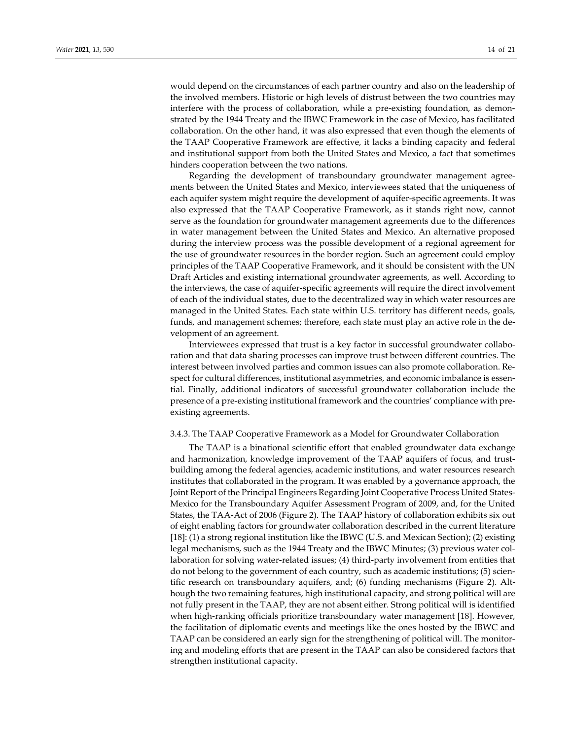would depend on the circumstances of each partner country and also on the leadership of the involved members. Historic or high levels of distrust between the two countries may interfere with the process of collaboration, while a pre-existing foundation, as demonstrated by the 1944 Treaty and the IBWC Framework in the case of Mexico, has facilitated collaboration. On the other hand, it was also expressed that even though the elements of the TAAP Cooperative Framework are effective, it lacks a binding capacity and federal and institutional support from both the United States and Mexico, a fact that sometimes hinders cooperation between the two nations.

Regarding the development of transboundary groundwater management agreements between the United States and Mexico, interviewees stated that the uniqueness of each aquifer system might require the development of aquifer-specific agreements. It was also expressed that the TAAP Cooperative Framework, as it stands right now, cannot serve as the foundation for groundwater management agreements due to the differences in water management between the United States and Mexico. An alternative proposed during the interview process was the possible development of a regional agreement for the use of groundwater resources in the border region. Such an agreement could employ principles of the TAAP Cooperative Framework, and it should be consistent with the UN Draft Articles and existing international groundwater agreements, as well. According to the interviews, the case of aquifer-specific agreements will require the direct involvement of each of the individual states, due to the decentralized way in which water resources are managed in the United States. Each state within U.S. territory has different needs, goals, funds, and management schemes; therefore, each state must play an active role in the development of an agreement.

Interviewees expressed that trust is a key factor in successful groundwater collaboration and that data sharing processes can improve trust between different countries. The interest between involved parties and common issues can also promote collaboration. Respect for cultural differences, institutional asymmetries, and economic imbalance is essential. Finally, additional indicators of successful groundwater collaboration include the presence of a pre-existing institutional framework and the countries' compliance with preexisting agreements.

## 3.4.3. The TAAP Cooperative Framework as a Model for Groundwater Collaboration

The TAAP is a binational scientific effort that enabled groundwater data exchange and harmonization, knowledge improvement of the TAAP aquifers of focus, and trustbuilding among the federal agencies, academic institutions, and water resources research institutes that collaborated in the program. It was enabled by a governance approach, the Joint Report of the Principal Engineers Regarding Joint Cooperative Process United States-Mexico for the Transboundary Aquifer Assessment Program of 2009, and, for the United States, the TAA-Act of 2006 (Figure 2). The TAAP history of collaboration exhibits six out of eight enabling factors for groundwater collaboration described in the current literature [18]: (1) a strong regional institution like the IBWC (U.S. and Mexican Section); (2) existing legal mechanisms, such as the 1944 Treaty and the IBWC Minutes; (3) previous water collaboration for solving water-related issues; (4) third-party involvement from entities that do not belong to the government of each country, such as academic institutions; (5) scientific research on transboundary aquifers, and; (6) funding mechanisms (Figure 2). Although the two remaining features, high institutional capacity, and strong political will are not fully present in the TAAP, they are not absent either. Strong political will is identified when high-ranking officials prioritize transboundary water management [18]. However, the facilitation of diplomatic events and meetings like the ones hosted by the IBWC and TAAP can be considered an early sign for the strengthening of political will. The monitoring and modeling efforts that are present in the TAAP can also be considered factors that strengthen institutional capacity.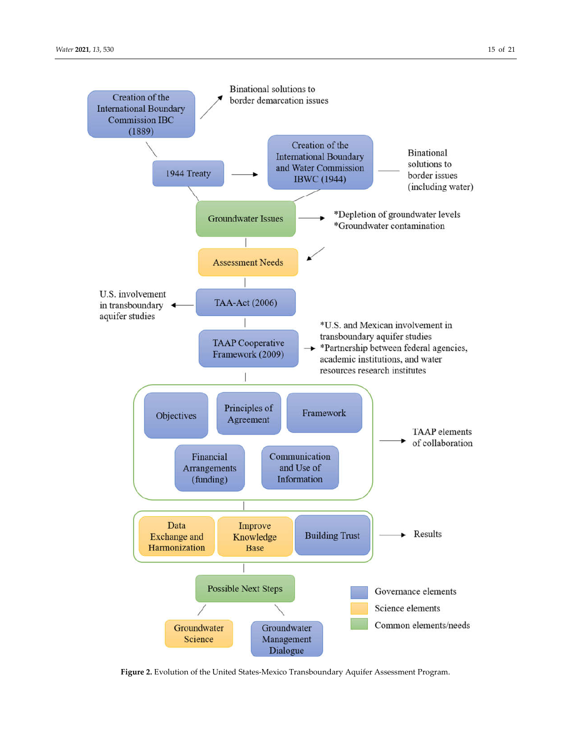

**Figure 2.** Evolution of the United States-Mexico Transboundary Aquifer Assessment Program.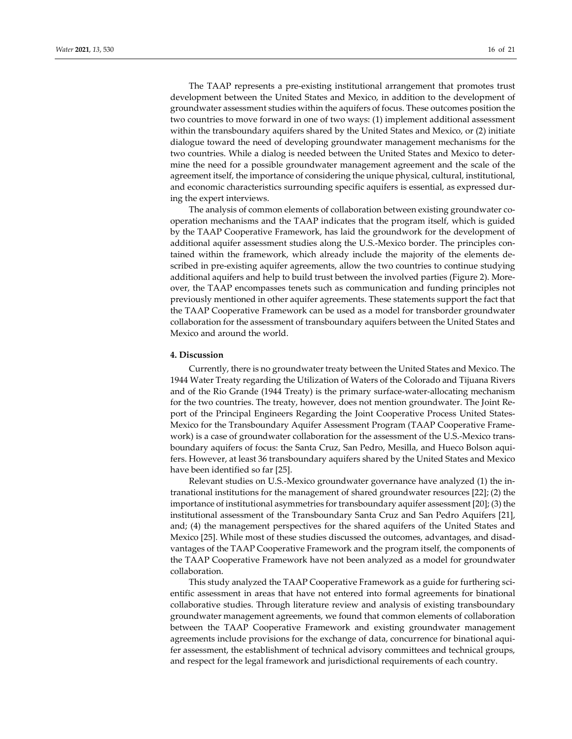The TAAP represents a pre-existing institutional arrangement that promotes trust development between the United States and Mexico, in addition to the development of groundwater assessment studies within the aquifers of focus. These outcomes position the two countries to move forward in one of two ways: (1) implement additional assessment within the transboundary aquifers shared by the United States and Mexico, or (2) initiate dialogue toward the need of developing groundwater management mechanisms for the two countries. While a dialog is needed between the United States and Mexico to determine the need for a possible groundwater management agreement and the scale of the agreement itself, the importance of considering the unique physical, cultural, institutional, and economic characteristics surrounding specific aquifers is essential, as expressed during the expert interviews.

The analysis of common elements of collaboration between existing groundwater cooperation mechanisms and the TAAP indicates that the program itself, which is guided by the TAAP Cooperative Framework, has laid the groundwork for the development of additional aquifer assessment studies along the U.S.-Mexico border. The principles contained within the framework, which already include the majority of the elements described in pre-existing aquifer agreements, allow the two countries to continue studying additional aquifers and help to build trust between the involved parties (Figure 2). Moreover, the TAAP encompasses tenets such as communication and funding principles not previously mentioned in other aquifer agreements. These statements support the fact that the TAAP Cooperative Framework can be used as a model for transborder groundwater collaboration for the assessment of transboundary aquifers between the United States and Mexico and around the world.

## **4. Discussion**

Currently, there is no groundwater treaty between the United States and Mexico. The 1944 Water Treaty regarding the Utilization of Waters of the Colorado and Tijuana Rivers and of the Rio Grande (1944 Treaty) is the primary surface-water-allocating mechanism for the two countries. The treaty, however, does not mention groundwater. The Joint Report of the Principal Engineers Regarding the Joint Cooperative Process United States-Mexico for the Transboundary Aquifer Assessment Program (TAAP Cooperative Framework) is a case of groundwater collaboration for the assessment of the U.S.-Mexico transboundary aquifers of focus: the Santa Cruz, San Pedro, Mesilla, and Hueco Bolson aquifers. However, at least 36 transboundary aquifers shared by the United States and Mexico have been identified so far [25].

Relevant studies on U.S.-Mexico groundwater governance have analyzed (1) the intranational institutions for the management of shared groundwater resources [22]; (2) the importance of institutional asymmetries for transboundary aquifer assessment [20]; (3) the institutional assessment of the Transboundary Santa Cruz and San Pedro Aquifers [21], and; (4) the management perspectives for the shared aquifers of the United States and Mexico [25]. While most of these studies discussed the outcomes, advantages, and disadvantages of the TAAP Cooperative Framework and the program itself, the components of the TAAP Cooperative Framework have not been analyzed as a model for groundwater collaboration.

This study analyzed the TAAP Cooperative Framework as a guide for furthering scientific assessment in areas that have not entered into formal agreements for binational collaborative studies. Through literature review and analysis of existing transboundary groundwater management agreements, we found that common elements of collaboration between the TAAP Cooperative Framework and existing groundwater management agreements include provisions for the exchange of data, concurrence for binational aquifer assessment, the establishment of technical advisory committees and technical groups, and respect for the legal framework and jurisdictional requirements of each country.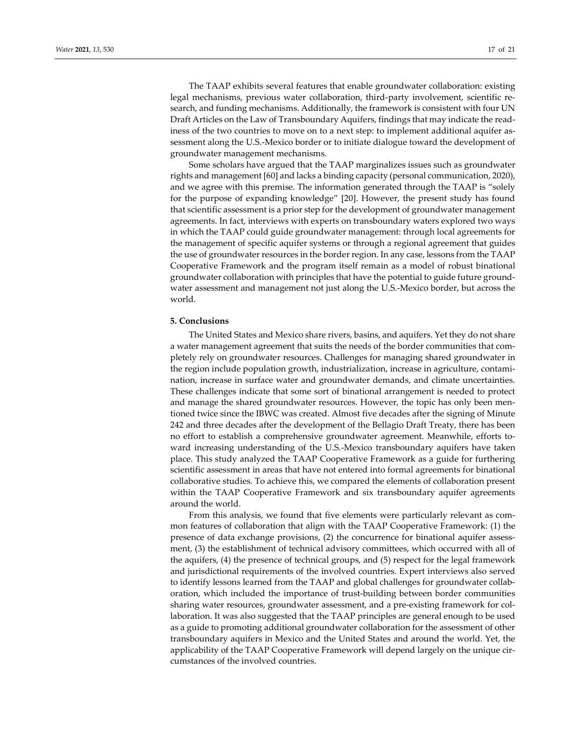The TAAP exhibits several features that enable groundwater collaboration: existing legal mechanisms, previous water collaboration, third-party involvement, scientific research, and funding mechanisms. Additionally, the framework is consistent with four UN Draft Articles on the Law of Transboundary Aquifers, findings that may indicate the readiness of the two countries to move on to a next step: to implement additional aquifer assessment along the U.S.-Mexico border or to initiate dialogue toward the development of groundwater management mechanisms.

Some scholars have argued that the TAAP marginalizes issues such as groundwater rights and management [60] and lacks a binding capacity (personal communication, 2020), and we agree with this premise. The information generated through the TAAP is "solely for the purpose of expanding knowledge" [20]. However, the present study has found that scientific assessment is a prior step for the development of groundwater management agreements. In fact, interviews with experts on transboundary waters explored two ways in which the TAAP could guide groundwater management: through local agreements for the management of specific aquifer systems or through a regional agreement that guides the use of groundwater resources in the border region. In any case, lessons from the TAAP Cooperative Framework and the program itself remain as a model of robust binational groundwater collaboration with principles that have the potential to guide future groundwater assessment and management not just along the U.S.-Mexico border, but across the world.

# **5. Conclusions**

The United States and Mexico share rivers, basins, and aquifers. Yet they do not share a water management agreement that suits the needs of the border communities that completely rely on groundwater resources. Challenges for managing shared groundwater in the region include population growth, industrialization, increase in agriculture, contamination, increase in surface water and groundwater demands, and climate uncertainties. These challenges indicate that some sort of binational arrangement is needed to protect and manage the shared groundwater resources. However, the topic has only been mentioned twice since the IBWC was created. Almost five decades after the signing of Minute 242 and three decades after the development of the Bellagio Draft Treaty, there has been no effort to establish a comprehensive groundwater agreement. Meanwhile, efforts toward increasing understanding of the U.S.-Mexico transboundary aquifers have taken place. This study analyzed the TAAP Cooperative Framework as a guide for furthering scientific assessment in areas that have not entered into formal agreements for binational collaborative studies. To achieve this, we compared the elements of collaboration present within the TAAP Cooperative Framework and six transboundary aquifer agreements around the world.

From this analysis, we found that five elements were particularly relevant as common features of collaboration that align with the TAAP Cooperative Framework: (1) the presence of data exchange provisions, (2) the concurrence for binational aquifer assessment, (3) the establishment of technical advisory committees, which occurred with all of the aquifers, (4) the presence of technical groups, and (5) respect for the legal framework and jurisdictional requirements of the involved countries. Expert interviews also served to identify lessons learned from the TAAP and global challenges for groundwater collaboration, which included the importance of trust-building between border communities sharing water resources, groundwater assessment, and a pre-existing framework for collaboration. It was also suggested that the TAAP principles are general enough to be used as a guide to promoting additional groundwater collaboration for the assessment of other transboundary aquifers in Mexico and the United States and around the world. Yet, the applicability of the TAAP Cooperative Framework will depend largely on the unique circumstances of the involved countries.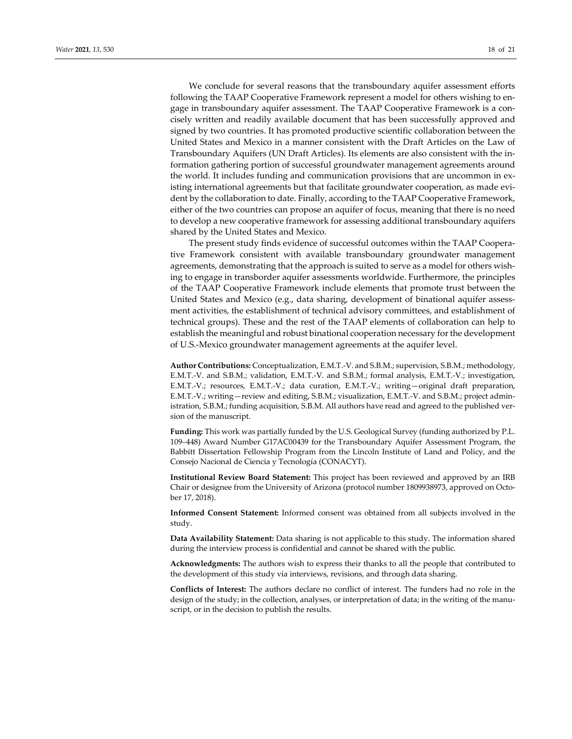We conclude for several reasons that the transboundary aquifer assessment efforts following the TAAP Cooperative Framework represent a model for others wishing to engage in transboundary aquifer assessment. The TAAP Cooperative Framework is a concisely written and readily available document that has been successfully approved and signed by two countries. It has promoted productive scientific collaboration between the United States and Mexico in a manner consistent with the Draft Articles on the Law of Transboundary Aquifers (UN Draft Articles). Its elements are also consistent with the information gathering portion of successful groundwater management agreements around the world. It includes funding and communication provisions that are uncommon in existing international agreements but that facilitate groundwater cooperation, as made evident by the collaboration to date. Finally, according to the TAAP Cooperative Framework, either of the two countries can propose an aquifer of focus, meaning that there is no need to develop a new cooperative framework for assessing additional transboundary aquifers shared by the United States and Mexico.

The present study finds evidence of successful outcomes within the TAAP Cooperative Framework consistent with available transboundary groundwater management agreements, demonstrating that the approach is suited to serve as a model for others wishing to engage in transborder aquifer assessments worldwide. Furthermore, the principles of the TAAP Cooperative Framework include elements that promote trust between the United States and Mexico (e.g., data sharing, development of binational aquifer assessment activities, the establishment of technical advisory committees, and establishment of technical groups). These and the rest of the TAAP elements of collaboration can help to establish the meaningful and robust binational cooperation necessary for the development of U.S.-Mexico groundwater management agreements at the aquifer level.

**Author Contributions:** Conceptualization, E.M.T.-V. and S.B.M.; supervision, S.B.M.; methodology, E.M.T.-V. and S.B.M.; validation, E.M.T.-V. and S.B.M.; formal analysis, E.M.T.-V.; investigation, E.M.T.-V.; resources, E.M.T.-V.; data curation, E.M.T.-V.; writing—original draft preparation, E.M.T.-V.; writing—review and editing, S.B.M.; visualization, E.M.T.-V. and S.B.M.; project administration, S.B.M.; funding acquisition, S.B.M. All authors have read and agreed to the published version of the manuscript.

**Funding:** This work was partially funded by the U.S. Geological Survey (funding authorized by P.L. 109–448) Award Number G17AC00439 for the Transboundary Aquifer Assessment Program, the Babbitt Dissertation Fellowship Program from the Lincoln Institute of Land and Policy, and the Consejo Nacional de Ciencia y Tecnología (CONACYT).

**Institutional Review Board Statement:** This project has been reviewed and approved by an IRB Chair or designee from the University of Arizona (protocol number 1809938973, approved on October 17, 2018).

**Informed Consent Statement:** Informed consent was obtained from all subjects involved in the study.

**Data Availability Statement:** Data sharing is not applicable to this study. The information shared during the interview process is confidential and cannot be shared with the public.

**Acknowledgments:** The authors wish to express their thanks to all the people that contributed to the development of this study via interviews, revisions, and through data sharing.

**Conflicts of Interest:** The authors declare no conflict of interest. The funders had no role in the design of the study; in the collection, analyses, or interpretation of data; in the writing of the manuscript, or in the decision to publish the results.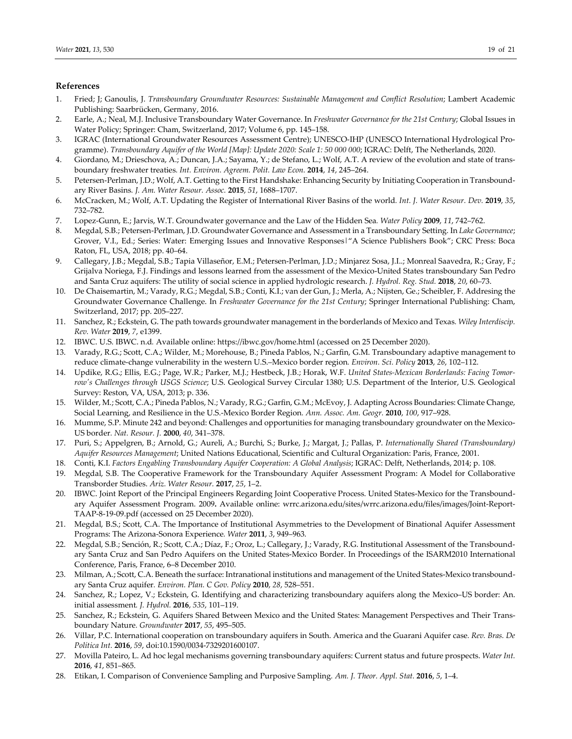# **References**

- 1. Fried; J; Ganoulis, J. *Transboundary Groundwater Resources: Sustainable Management and Conflict Resolution*; Lambert Academic Publishing: Saarbrücken, Germany, 2016.
- 2. Earle, A.; Neal, M.J. Inclusive Transboundary Water Governance. In *Freshwater Governance for the 21st Century*; Global Issues in Water Policy; Springer: Cham, Switzerland, 2017; Volume 6, pp. 145–158.
- 3. IGRAC (International Groundwater Resources Assessment Centre); UNESCO-IHP (UNESCO International Hydrological Programme). *Transboundary Aquifer of the World [Map]: Update 2020: Scale 1: 50 000 000*; IGRAC: Delft, The Netherlands, 2020.
- 4. Giordano, M.; Drieschova, A.; Duncan, J.A.; Sayama, Y.; de Stefano, L.; Wolf, A.T. A review of the evolution and state of transboundary freshwater treaties*. Int. Environ. Agreem. Polit. Law Econ.* **2014**, *14*, 245–264.
- 5. Petersen-Perlman, J.D.; Wolf, A.T. Getting to the First Handshake: Enhancing Security by Initiating Cooperation in Transboundary River Basins*. J. Am. Water Resour. Assoc.* **2015**, *51*, 1688–1707.
- 6. McCracken, M.; Wolf, A.T. Updating the Register of International River Basins of the world*. Int. J. Water Resour. Dev.* **2019**, *35*, 732–782.
- 7. Lopez-Gunn, E.; Jarvis, W.T. Groundwater governance and the Law of the Hidden Sea*. Water Policy* **2009**, *11*, 742–762.
- 8. Megdal, S.B.; Petersen-Perlman, J.D. Groundwater Governance and Assessment in a Transboundary Setting. In *Lake Governance*; Grover, V.I., Ed.; Series: Water: Emerging Issues and Innovative Responses|"A Science Publishers Book"; CRC Press: Boca Raton, FL, USA, 2018; pp. 40–64.
- 9. Callegary, J.B.; Megdal, S.B.; Tapia Villaseñor, E.M.; Petersen-Perlman, J.D.; Minjarez Sosa, J.I..; Monreal Saavedra, R.; Gray, F.; Grijalva Noriega, F.J. Findings and lessons learned from the assessment of the Mexico-United States transboundary San Pedro and Santa Cruz aquifers: The utility of social science in applied hydrologic research. *J. Hydrol. Reg. Stud.* **2018**, *20*, 60–73.
- 10. De Chaisemartin, M.; Varady, R.G.; Megdal, S.B.; Conti, K.I.; van der Gun, J.; Merla, A.; Nijsten, Ge.; Scheibler, F. Addresing the Groundwater Governance Challenge. In *Freshwater Governance for the 21st Century*; Springer International Publishing: Cham, Switzerland, 2017; pp. 205–227.
- 11. Sanchez, R.; Eckstein, G. The path towards groundwater management in the borderlands of Mexico and Texas*. Wiley Interdiscip. Rev. Water* **2019**, *7*, e1399.
- 12. IBWC. U.S. IBWC. n.d*.* Available online: https://ibwc.gov/home.html (accessed on 25 December 2020).
- 13. Varady, R.G.; Scott, C.A.; Wilder, M.; Morehouse, B.; Pineda Pablos, N.; Garfin, G.M. Transboundary adaptive management to reduce climate-change vulnerability in the western U.S.–Mexico border region*. Environ. Sci. Policy* **2013**, *26*, 102–112.
- 14. Updike, R.G.; Ellis, E.G.; Page, W.R.; Parker, M.J.; Hestbeck, J.B.; Horak, W.F. *United States-Mexican Borderlands: Facing Tomorrow's Challenges through USGS Science*; U.S. Geological Survey Circular 1380; U.S. Department of the Interior, U.S. Geological Survey: Reston, VA, USA, 2013; p. 336.
- 15. Wilder, M.; Scott, C.A.; Pineda Pablos, N.; Varady, R.G.; Garfin, G.M.; McEvoy, J. Adapting Across Boundaries: Climate Change, Social Learning, and Resilience in the U.S.-Mexico Border Region*. Ann. Assoc. Am. Geogr.* **2010**, *100*, 917–928.
- 16. Mumme, S.P. Minute 242 and beyond: Challenges and opportunities for managing transboundary groundwater on the Mexico-US border*. Nat. Resour. J.* **2000**, *40*, 341–378.
- 17. Puri, S.; Appelgren, B.; Arnold, G.; Aureli, A.; Burchi, S.; Burke, J.; Margat, J.; Pallas, P. *Internationally Shared (Transboundary) Aquifer Resources Management*; United Nations Educational, Scientific and Cultural Organization: Paris, France, 2001.
- 18. Conti, K.I. *Factors Engabling Transboundary Aquifer Cooperation: A Global Analysis*; IGRAC: Delft, Netherlands, 2014; p. 108.
- 19. Megdal, S.B. The Cooperative Framework for the Transboundary Aquifer Assessment Program: A Model for Collaborative Transborder Studies. *Ariz. Water Resour.* **2017**, *25*, 1–2.
- 20. IBWC. Joint Report of the Principal Engineers Regarding Joint Cooperative Process. United States-Mexico for the Transboundary Aquifer Assessment Program. 2009**.** Available online: wrrc.arizona.edu/sites/wrrc.arizona.edu/files/images/Joint-Report-TAAP-8-19-09.pdf (accessed on 25 December 2020).
- 21. Megdal, B.S.; Scott, C.A. The Importance of Institutional Asymmetries to the Development of Binational Aquifer Assessment Programs: The Arizona-Sonora Experience*. Water* **2011**, *3*, 949–963.
- 22. Megdal, S.B.; Sención, R.; Scott, C.A.; Díaz, F.; Oroz, L.; Callegary, J.; Varady, R.G. Institutional Assessment of the Transboundary Santa Cruz and San Pedro Aquifers on the United States-Mexico Border. In Proceedings of the ISARM2010 International Conference, Paris, France, 6–8 December 2010.
- 23. Milman, A.; Scott, C.A. Beneath the surface: Intranational institutions and management of the United States-Mexico transboundary Santa Cruz aquifer*. Environ. Plan. C Gov. Policy* **2010**, *28*, 528–551.
- 24. Sanchez, R.; Lopez, V.; Eckstein, G. Identifying and characterizing transboundary aquifers along the Mexico–US border: An. initial assessment*. J. Hydrol.* **2016**, *535*, 101–119.
- 25. Sanchez, R.; Eckstein, G. Aquifers Shared Between Mexico and the United States: Management Perspectives and Their Transboundary Nature*. Groundwater* **2017**, *55*, 495–505.
- 26. Villar, P.C. International cooperation on transboundary aquifers in South. America and the Guarani Aquifer case*. Rev. Bras. De Política Int.* **2016**, *59*, doi:10.1590/0034-7329201600107.
- 27. Movilla Pateiro, L. Ad hoc legal mechanisms governing transboundary aquifers: Current status and future prospects. *Water Int.*  **2016**, *41*, 851–865.
- 28. Etikan, I. Comparison of Convenience Sampling and Purposive Sampling*. Am. J. Theor. Appl. Stat.* **2016**, *5*, 1–4.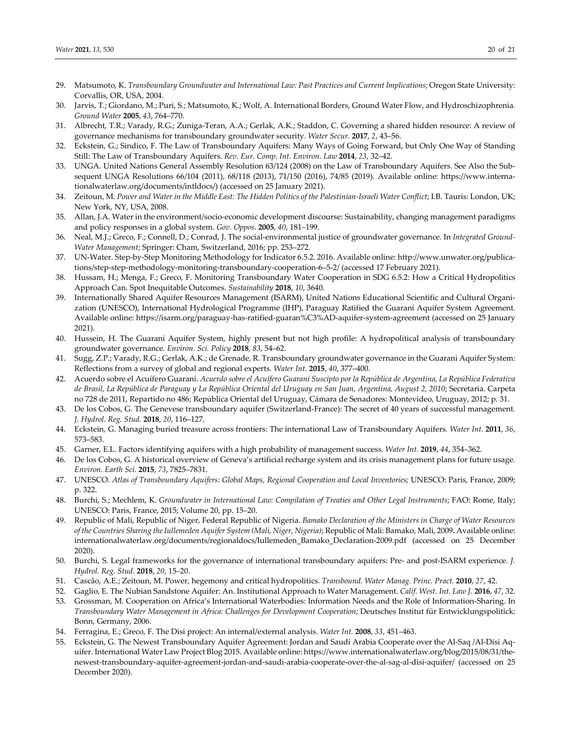- 29. Matsumoto, K. *Transboundary Groundwater and International Law: Past Practices and Current Implications*; Oregon State University: Corvallis, OR, USA, 2004.
- 30. Jarvis, T.; Giordano, M.; Puri, S.; Matsumoto, K.; Wolf, A. International Borders, Ground Water Flow, and Hydroschizophrenia*. Ground Water* **2005**, *43*, 764–770.
- 31. Albrecht, T.R.; Varady, R.G.; Zuniga-Teran, A.A.; Gerlak, A.K.; Staddon, C. Governing a shared hidden resource: A review of governance mechanisms for transboundary groundwater security*. Water Secur.* **2017**, *2*, 43–56.
- 32. Eckstein, G.; Sindico, F. The Law of Transboundary Aquifers: Many Ways of Going Forward, but Only One Way of Standing Still: The Law of Transboundary Aquifers*. Rev. Eur. Comp. Int. Environ. Law* **2014**, *23*, 32–42.
- 33. UNGA. United Nations General Assembly Resolution 63/124 (2008) on the Law of Transboundary Aquifers. See Also the Subsequent UNGA Resolutions 66/104 (2011), 68/118 (2013), 71/150 (2016), 74/85 (2019). Available online: https://www.internationalwaterlaw.org/documents/intldocs/) (accessed on 25 January 2021).
- 34. Zeitoun, M. *Power and Water in the Middle East: The Hidden Politics of the Palestinian-Israeli Water Conflict*; I.B. Tauris: London, UK; New York, NY, USA, 2008.
- 35. Allan, J.A. Water in the environment/socio-economic development discourse: Sustainability, changing management paradigms and policy responses in a global system. *Gov. Oppos*. **2005**, *40*, 181–199.
- 36. Neal, M.J.; Greco, F.; Connell, D.; Conrad, J. The social-environmental justice of groundwater governance*.* In *Integrated Ground-Water Management*; Springer: Cham, Switzerland, 2016; pp. 253–272.
- 37. UN-Water. Step-by-Step Monitoring Methodology for Indicator 6.5.2. 2016. Available online: http://www.unwater.org/publications/step-step-methodology-monitoring-transboundary-cooperation-6–5-2/ (accessed 17 February 2021).
- 38. Hussam, H.; Menga, F.; Greco, F. Monitoring Transboundary Water Cooperation in SDG 6.5.2: How a Critical Hydropolitics Approach Can. Spot Inequitable Outcomes. *Sustainability* **2018**, *10*, 3640.
- 39. Internationally Shared Aquifer Resources Management (ISARM), United Nations Educational Scientific and Cultural Organization (UNESCO), International Hydrological Programme (IHP), Paraguay Ratified the Guaraní Aquifer System Agreement*.*  Available online: https://isarm.org/paraguay-has-ratified-guaran%C3%AD-aquifer-system-agreement (accessed on 25 January 2021).
- 40. Hussein, H. The Guarani Aquifer System, highly present but not high profile: A hydropolitical analysis of transboundary groundwater governance*. Environ. Sci. Policy* **2018**, *83*, 54–62.
- 41. Sugg, Z.P.; Varady, R.G.; Gerlak, A.K.; de Grenade, R. Transboundary groundwater governance in the Guarani Aquifer System: Reflections from a survey of global and regional experts*. Water Int.* **2015**, *40*, 377–400.
- 42. Acuerdo sobre el Acuífero Guaraní. *Acuerdo sobre el Acuífero Guaraní Suscipto por la República de Argentina, La República Federativa de Brasil, La República de Paraguay y La República Oriental del Uruguay en San Juan, Argentina, August 2, 2010*; Secretaria. Carpeta no 728 de 2011, Repartido no 486; República Oriental del Uruguay, Cámara de Senadores: Montevideo, Uruguay, 2012; p. 31.
- 43. De los Cobos, G. The Genevese transboundary aquifer (Switzerland-France): The secret of 40 years of successful management*. J. Hydrol. Reg. Stud.* **2018**, *20*, 116–127.
- 44. Eckstein, G. Managing buried treasure across frontiers: The international Law of Transboundary Aquifers*. Water Int.* **2011**, *36*, 573–583.
- 45. Garner, E.L. Factors identifying aquifers with a high probability of management success*. Water Int.* **2019**, *44*, 354–362.
- 46. De los Cobos, G. A historical overview of Geneva's artificial recharge system and its crisis management plans for future usage*. Environ. Earth Sci.* **2015**, *73*, 7825–7831.
- 47. UNESCO. *Atlas of Transboundary Aquifers: Global Maps, Regional Cooperation and Local Inventories;* UNESCO: Paris, France, 2009; p. 322.
- 48. Burchi, S.; Mechlem, K. *Groundwater in International Law: Compilation of Treaties and Other Legal Instruments*; FAO: Rome, Italy; UNESCO: Paris, France, 2015; Volume 20, pp. 15–20.
- 49. Republic of Mali, Republic of Niger, Federal Republic of Nigeria. *Bamako Declaration of the Ministers in Charge of Water Resources of the Countries Sharing the Iullemeden Aquifer System (Mali, Niger, Nigeria)*; Republic of Mali: Bamako, Mali, 2009**.** Available online: internationalwaterlaw.org/documents/regionaldocs/Iullemeden\_Bamako\_Declaration-2009.pdf (accessed on 25 December 2020).
- 50. Burchi, S. Legal frameworks for the governance of international transboundary aquifers: Pre- and post-ISARM experience*. J. Hydrol. Reg. Stud.* **2018**, *20,* 15–20.
- 51. Cascão, A.E.; Zeitoun, M. Power, hegemony and critical hydropolitics*. Transbound. Water Manag. Princ. Pract.* **2010**, *27*, 42.
- 52. Gaglio, E. The Nubian Sandstone Aquifer: An. Institutional Approach to Water Management. *Calif. West. Int. Law J.* **2016**, *47*, 32.
- 53. Grossman, M. Cooperation on Africa's International Waterbodies: Information Needs and the Role of Information-Sharing. In *Transboundary Water Management in Africa: Challenges for Development Cooperation*; Deutsches Institut für Entwicklungspolitick: Bonn, Germany, 2006.
- 54. Ferragina, E.; Greco, F. The Disi project: An internal/external analysis. *Water Int.* **2008**, *33*, 451–463.
- 55. Eckstein, G. The Newest Transboundary Aquifer Agreement: Jordan and Saudi Arabia Cooperate over the Al-Saq /Al-Disi Aquifer. International Water Law Project Blog 2015. Available online: https://www.internationalwaterlaw.org/blog/2015/08/31/thenewest-transboundary-aquifer-agreement-jordan-and-saudi-arabia-cooperate-over-the-al-sag-al-disi-aquifer/ (accessed on 25 December 2020).